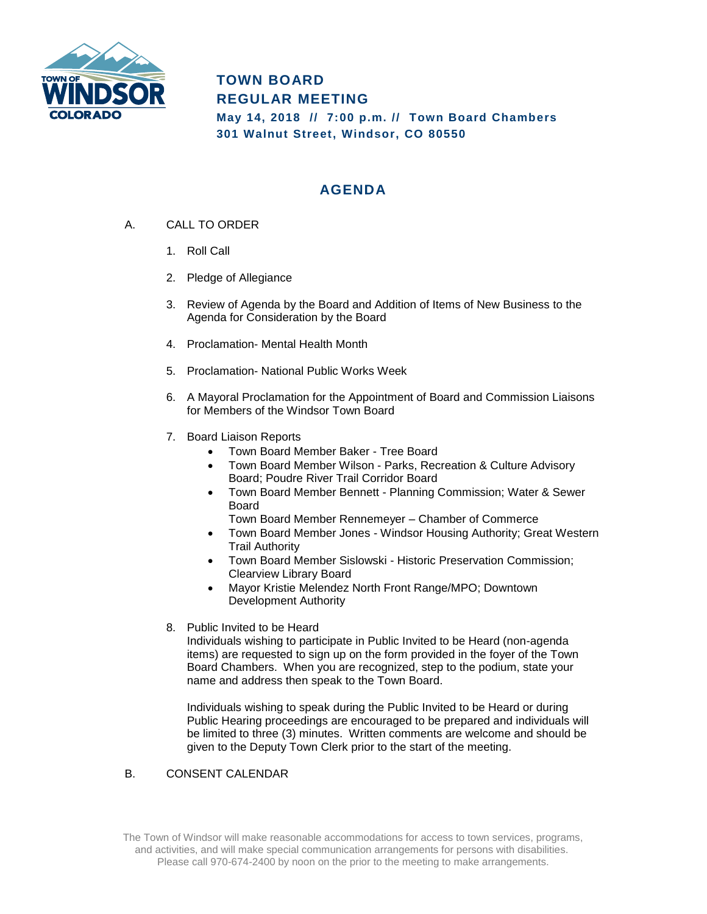

# **TOWN BOARD REGULAR MEETING**

**May 14, 2018 // 7:00 p.m. // Town Board Chambers 301 Walnut Street, Windsor, CO 80550**

## **AGENDA**

- A. CALL TO ORDER
	- 1. Roll Call
	- 2. Pledge of Allegiance
	- 3. Review of Agenda by the Board and Addition of Items of New Business to the Agenda for Consideration by the Board
	- 4. Proclamation- Mental Health Month
	- 5. Proclamation- National Public Works Week
	- 6. A Mayoral Proclamation for the Appointment of Board and Commission Liaisons for Members of the Windsor Town Board
	- 7. Board Liaison Reports
		- Town Board Member Baker Tree Board
		- Town Board Member Wilson Parks, Recreation & Culture Advisory Board; Poudre River Trail Corridor Board
		- Town Board Member Bennett Planning Commission; Water & Sewer Board
			- Town Board Member Rennemeyer Chamber of Commerce
		- Town Board Member Jones Windsor Housing Authority; Great Western Trail Authority
		- Town Board Member Sislowski Historic Preservation Commission; Clearview Library Board
		- Mayor Kristie Melendez North Front Range/MPO; Downtown Development Authority
	- 8. Public Invited to be Heard

Individuals wishing to participate in Public Invited to be Heard (non-agenda items) are requested to sign up on the form provided in the foyer of the Town Board Chambers. When you are recognized, step to the podium, state your name and address then speak to the Town Board.

Individuals wishing to speak during the Public Invited to be Heard or during Public Hearing proceedings are encouraged to be prepared and individuals will be limited to three (3) minutes. Written comments are welcome and should be given to the Deputy Town Clerk prior to the start of the meeting.

#### B. CONSENT CALENDAR

The Town of Windsor will make reasonable accommodations for access to town services, programs, and activities, and will make special communication arrangements for persons with disabilities. Please call 970-674-2400 by noon on the prior to the meeting to make arrangements.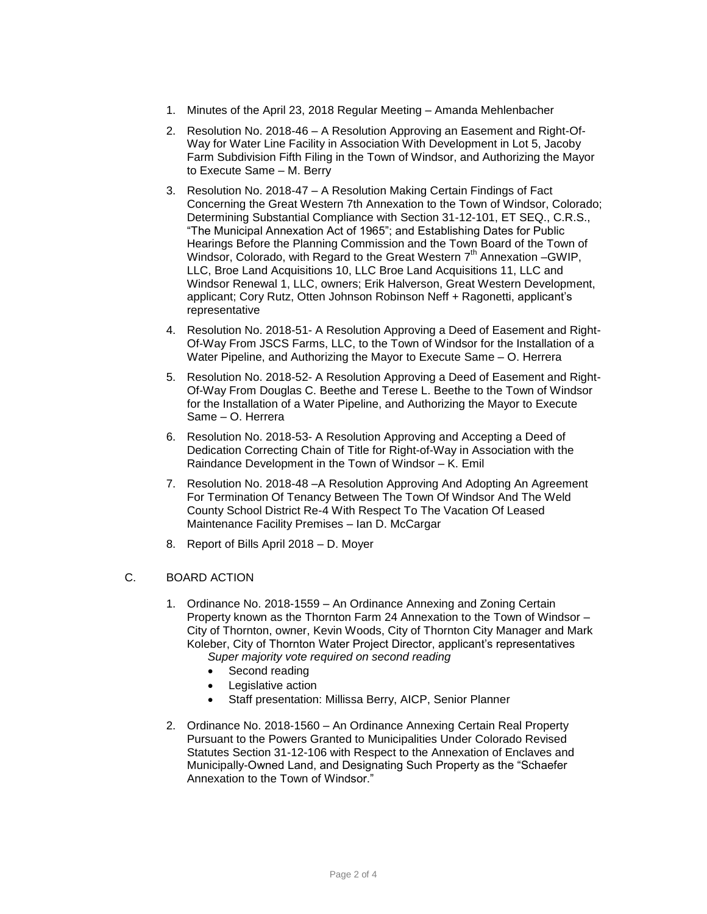- 1. Minutes of the April 23, 2018 Regular Meeting Amanda Mehlenbacher
- 2. Resolution No. 2018-46 A Resolution Approving an Easement and Right-Of-Way for Water Line Facility in Association With Development in Lot 5, Jacoby Farm Subdivision Fifth Filing in the Town of Windsor, and Authorizing the Mayor to Execute Same – M. Berry
- 3. Resolution No. 2018-47 A Resolution Making Certain Findings of Fact Concerning the Great Western 7th Annexation to the Town of Windsor, Colorado; Determining Substantial Compliance with Section 31-12-101, ET SEQ., C.R.S., "The Municipal Annexation Act of 1965"; and Establishing Dates for Public Hearings Before the Planning Commission and the Town Board of the Town of Windsor, Colorado, with Regard to the Great Western 7<sup>th</sup> Annexation -GWIP, LLC, Broe Land Acquisitions 10, LLC Broe Land Acquisitions 11, LLC and Windsor Renewal 1, LLC, owners; Erik Halverson, Great Western Development, applicant; Cory Rutz, Otten Johnson Robinson Neff + Ragonetti, applicant's representative
- 4. Resolution No. 2018-51- A Resolution Approving a Deed of Easement and Right-Of-Way From JSCS Farms, LLC, to the Town of Windsor for the Installation of a Water Pipeline, and Authorizing the Mayor to Execute Same – O. Herrera
- 5. Resolution No. 2018-52- A Resolution Approving a Deed of Easement and Right-Of-Way From Douglas C. Beethe and Terese L. Beethe to the Town of Windsor for the Installation of a Water Pipeline, and Authorizing the Mayor to Execute Same – O. Herrera
- 6. Resolution No. 2018-53- A Resolution Approving and Accepting a Deed of Dedication Correcting Chain of Title for Right-of-Way in Association with the Raindance Development in the Town of Windsor – K. Emil
- 7. Resolution No. 2018-48 –A Resolution Approving And Adopting An Agreement For Termination Of Tenancy Between The Town Of Windsor And The Weld County School District Re-4 With Respect To The Vacation Of Leased Maintenance Facility Premises – Ian D. McCargar
- 8. Report of Bills April 2018 D. Moyer

#### C. BOARD ACTION

- 1. Ordinance No. 2018-1559 An Ordinance Annexing and Zoning Certain Property known as the Thornton Farm 24 Annexation to the Town of Windsor – City of Thornton, owner, Kevin Woods, City of Thornton City Manager and Mark Koleber, City of Thornton Water Project Director, applicant's representatives *Super majority vote required on second reading*
	- Second reading
	- Legislative action
	- Staff presentation: Millissa Berry, AICP, Senior Planner
- 2. Ordinance No. 2018-1560 An Ordinance Annexing Certain Real Property Pursuant to the Powers Granted to Municipalities Under Colorado Revised Statutes Section 31-12-106 with Respect to the Annexation of Enclaves and Municipally-Owned Land, and Designating Such Property as the "Schaefer Annexation to the Town of Windsor."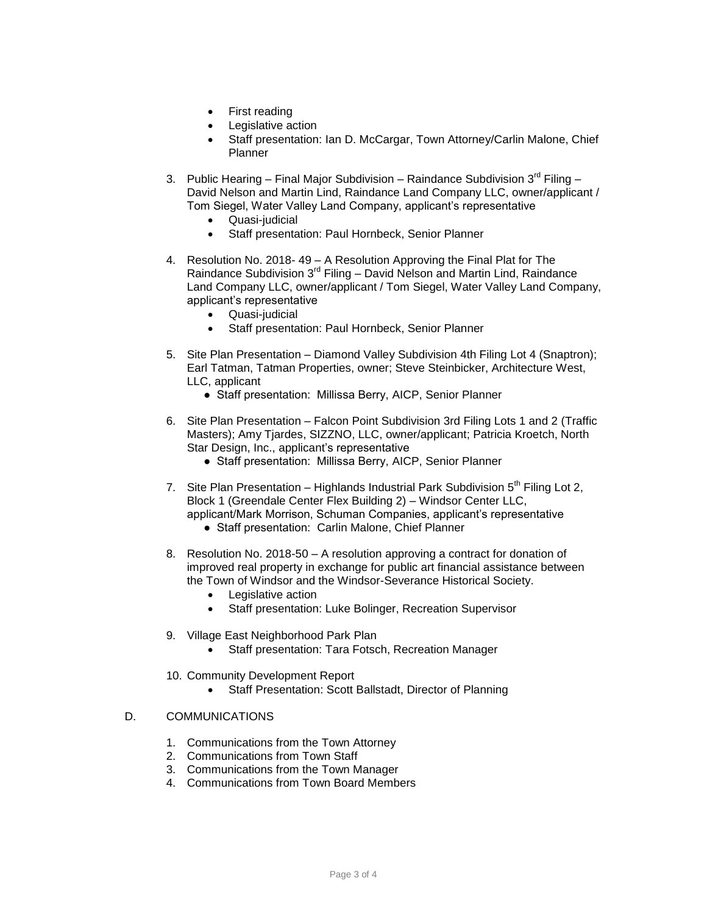- First reading
- Legislative action
- Staff presentation: Ian D. McCargar, Town Attorney/Carlin Malone, Chief **Planner**
- 3. Public Hearing Final Major Subdivision Raindance Subdivision  $3^{rd}$  Filing David Nelson and Martin Lind, Raindance Land Company LLC, owner/applicant / Tom Siegel, Water Valley Land Company, applicant's representative
	- Quasi-judicial
	- Staff presentation: Paul Hornbeck, Senior Planner
- 4. Resolution No. 2018- 49 A Resolution Approving the Final Plat for The Raindance Subdivision  $3^{rd}$  Filing – David Nelson and Martin Lind, Raindance Land Company LLC, owner/applicant / Tom Siegel, Water Valley Land Company, applicant's representative
	- Quasi-judicial
	- Staff presentation: Paul Hornbeck, Senior Planner
- 5. Site Plan Presentation Diamond Valley Subdivision 4th Filing Lot 4 (Snaptron); Earl Tatman, Tatman Properties, owner; Steve Steinbicker, Architecture West, LLC, applicant
	- Staff presentation: Millissa Berry, AICP, Senior Planner
- 6. Site Plan Presentation Falcon Point Subdivision 3rd Filing Lots 1 and 2 (Traffic Masters); Amy Tjardes, SIZZNO, LLC, owner/applicant; Patricia Kroetch, North Star Design, Inc., applicant's representative
	- Staff presentation: Millissa Berry, AICP, Senior Planner
- 7. Site Plan Presentation Highlands Industrial Park Subdivision  $5<sup>th</sup>$  Filing Lot 2, Block 1 (Greendale Center Flex Building 2) – Windsor Center LLC,
	- applicant/Mark Morrison, Schuman Companies, applicant's representative ● Staff presentation: Carlin Malone, Chief Planner
- 8. Resolution No. 2018-50 A resolution approving a contract for donation of improved real property in exchange for public art financial assistance between the Town of Windsor and the Windsor-Severance Historical Society.
	- Legislative action
	- Staff presentation: Luke Bolinger, Recreation Supervisor
- 9. Village East Neighborhood Park Plan
	- Staff presentation: Tara Fotsch, Recreation Manager
- 10. Community Development Report
	- Staff Presentation: Scott Ballstadt, Director of Planning

#### D. COMMUNICATIONS

- 1. Communications from the Town Attorney
- 2. Communications from Town Staff
- 3. Communications from the Town Manager
- 4. Communications from Town Board Members